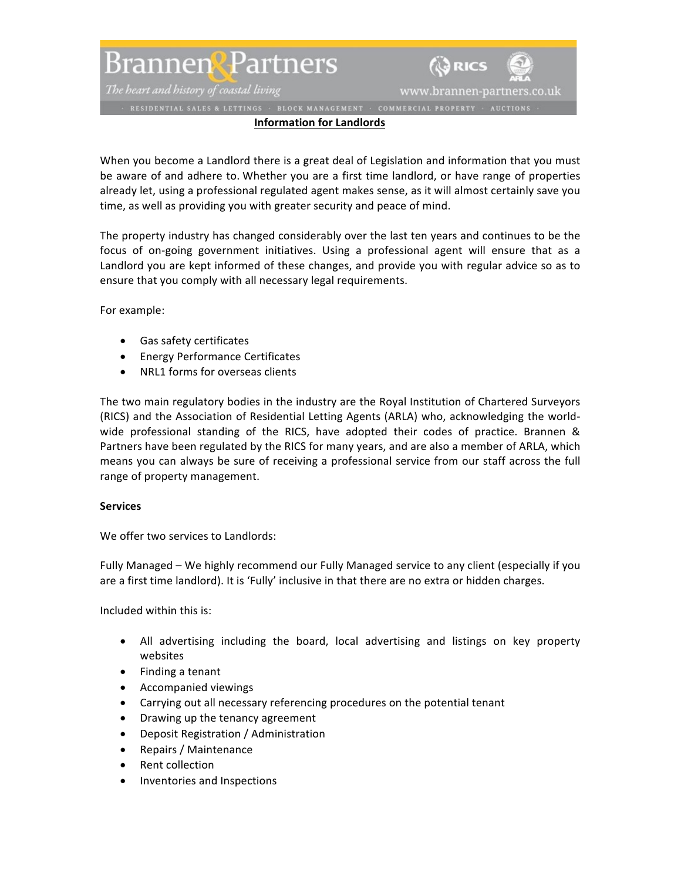Brannen<sup>g</sup> Partners

The heart and history of coastal living

www.brannen-partners.co.uk

**A** RICS

## **Information for Landlords**

When you become a Landlord there is a great deal of Legislation and information that you must be aware of and adhere to. Whether you are a first time landlord, or have range of properties already let, using a professional regulated agent makes sense, as it will almost certainly save you time, as well as providing you with greater security and peace of mind.

The property industry has changed considerably over the last ten years and continues to be the focus of on-going government initiatives. Using a professional agent will ensure that as a Landlord you are kept informed of these changes, and provide you with regular advice so as to ensure that you comply with all necessary legal requirements.

For example:

- Gas safety certificates
- Energy Performance Certificates
- NRL1 forms for overseas clients

The two main regulatory bodies in the industry are the Royal Institution of Chartered Surveyors (RICS) and the Association of Residential Letting Agents (ARLA) who, acknowledging the worldwide professional standing of the RICS, have adopted their codes of practice. Brannen & Partners have been regulated by the RICS for many years, and are also a member of ARLA, which means you can always be sure of receiving a professional service from our staff across the full range of property management.

## **Services**

We offer two services to Landlords:

Fully Managed – We highly recommend our Fully Managed service to any client (especially if you are a first time landlord). It is 'Fully' inclusive in that there are no extra or hidden charges.

Included within this is:

- All advertising including the board, local advertising and listings on key property websites
- Finding a tenant
- Accompanied viewings
- Carrying out all necessary referencing procedures on the potential tenant
- Drawing up the tenancy agreement
- Deposit Registration / Administration
- Repairs / Maintenance
- Rent collection
- Inventories and Inspections